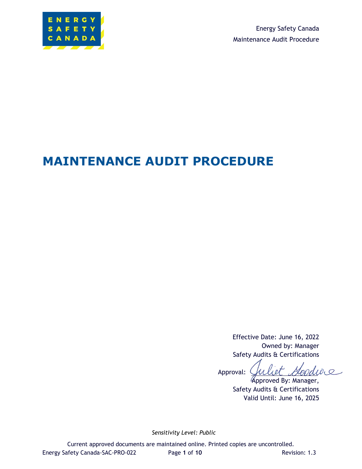

Energy Safety Canada Maintenance Audit Procedure

# **MAINTENANCE AUDIT PROCEDURE**

Effective Date: June 16, 2022 Owned by: Manager Safety Audits & Certifications

Goodwe Approval:

Approved By: Manager, Safety Audits & Certifications Valid Until: June 16, 2025

*Sensitivity Level: Public*

Current approved documents are maintained online. Printed copies are uncontrolled. Energy Safety Canada-SAC-PRO-022 Page 1 of 10 Revision: 1.3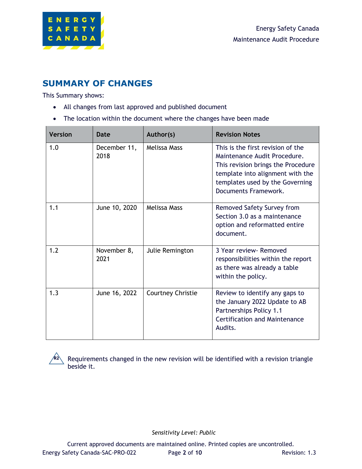

### **SUMMARY OF CHANGES**

This Summary shows:

- All changes from last approved and published document
- The location within the document where the changes have been made

| <b>Version</b> | Date                 | Author(s)         | <b>Revision Notes</b>                                                                                                                                                                                  |
|----------------|----------------------|-------------------|--------------------------------------------------------------------------------------------------------------------------------------------------------------------------------------------------------|
| 1.0            | December 11,<br>2018 | Melissa Mass      | This is the first revision of the<br>Maintenance Audit Procedure.<br>This revision brings the Procedure<br>template into alignment with the<br>templates used by the Governing<br>Documents Framework. |
| 1.1            | June 10, 2020        | Melissa Mass      | Removed Safety Survey from<br>Section 3.0 as a maintenance<br>option and reformatted entire<br>document.                                                                                               |
| 1.2            | November 8,<br>2021  | Julie Remington   | 3 Year review- Removed<br>responsibilities within the report<br>as there was already a table<br>within the policy.                                                                                     |
| 1.3            | June 16, 2022        | Courtney Christie | Review to identify any gaps to<br>the January 2022 Update to AB<br>Partnerships Policy 1.1<br><b>Certification and Maintenance</b><br>Audits.                                                          |



Requirements changed in the new revision will be identified with a revision triangle beside it.

*Sensitivity Level: Public*

Current approved documents are maintained online. Printed copies are uncontrolled. Energy Safety Canada-SAC-PRO-022 Page **2** of **10** Revision: 1.3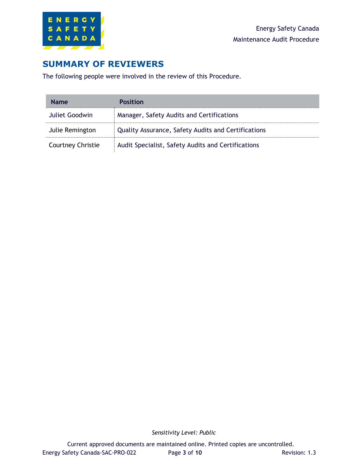

## **SUMMARY OF REVIEWERS**

The following people were involved in the review of this Procedure.

| <b>Name</b>              | <b>Position</b>                                     |
|--------------------------|-----------------------------------------------------|
| Juliet Goodwin           | Manager, Safety Audits and Certifications           |
| Julie Remington          | Quality Assurance, Safety Audits and Certifications |
| <b>Courtney Christie</b> | Audit Specialist, Safety Audits and Certifications  |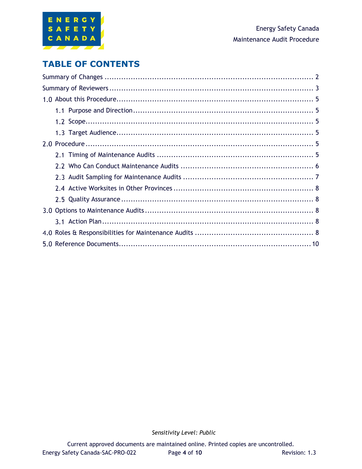

## **TABLE OF CONTENTS**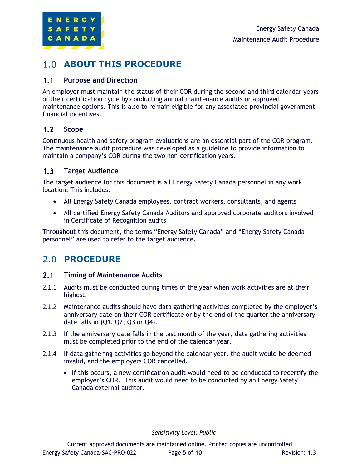

### **ABOUT THIS PROCEDURE**

#### $1.1$ **Purpose and Direction**

An employer must maintain the status of their COR during the second and third calendar years of their certification cycle by conducting annual maintenance audits or approved maintenance options. This is also to remain eligible for any associated provincial government financial incentives.

#### $1.2$ **Scope**

Continuous health and safety program evaluations are an essential part of the COR program. The maintenance audit procedure was developed as a guideline to provide information to maintain a company's COR during the two non-certification years.

#### $1.3<sub>1</sub>$ **Target Audience**

The target audience for this document is all Energy Safety Canada personnel in any work location. This includes:

- All Energy Safety Canada employees, contract workers, consultants, and agents
- All certified Energy Safety Canada Auditors and approved corporate auditors involved in Certificate of Recognition audits

Throughout this document, the terms "Energy Safety Canada" and "Energy Safety Canada personnel" are used to refer to the target audience.

### 2.0 **PROCEDURE**

#### $2.1$ **Timing of Maintenance Audits**

- 2.1.1 Audits must be conducted during times of the year when work activities are at their highest.
- 2.1.2 Maintenance audits should have data gathering activities completed by the employer's anniversary date on their COR certificate or by the end of the quarter the anniversary date falls in (Q1, Q2, Q3 or Q4).
- 2.1.3 If the anniversary date falls in the last month of the year, data gathering activities must be completed prior to the end of the calendar year.
- 2.1.4 If data gathering activities go beyond the calendar year, the audit would be deemed invalid, and the employers COR cancelled.
	- If this occurs, a new certification audit would need to be conducted to recertify the employer's COR. This audit would need to be conducted by an Energy Safety Canada external auditor.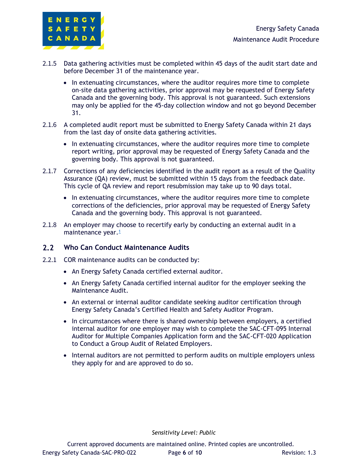

- 2.1.5 Data gathering activities must be completed within 45 days of the audit start date and before December 31 of the maintenance year.
	- In extenuating circumstances, where the auditor requires more time to complete on-site data gathering activities, prior approval may be requested of Energy Safety Canada and the governing body. This approval is not guaranteed. Such extensions may only be applied for the 45-day collection window and not go beyond December 31.
- 2.1.6 A completed audit report must be submitted to Energy Safety Canada within 21 days from the last day of onsite data gathering activities.
	- In extenuating circumstances, where the auditor requires more time to complete report writing, prior approval may be requested of Energy Safety Canada and the governing body. This approval is not guaranteed.
- 2.1.7 Corrections of any deficiencies identified in the audit report as a result of the Quality Assurance (QA) review, must be submitted within 15 days from the feedback date. This cycle of QA review and report resubmission may take up to 90 days total.
	- In extenuating circumstances, where the auditor requires more time to complete corrections of the deficiencies, prior approval may be requested of Energy Safety Canada and the governing body. This approval is not guaranteed.
- 2.1.8 An employer may choose to recertify early by conducting an external audit in a maintenance year.<sup>1</sup>

#### $2.2$ **Who Can Conduct Maintenance Audits**

- 2.2.1 COR maintenance audits can be conducted by:
	- An Energy Safety Canada certified external auditor.
	- An Energy Safety Canada certified internal auditor for the employer seeking the Maintenance Audit.
	- An external or internal auditor candidate seeking auditor certification through Energy Safety Canada's Certified Health and Safety Auditor Program.
	- In circumstances where there is shared ownership between employers, a certified internal auditor for one employer may wish to complete the SAC-CFT-095 Internal Auditor for Multiple Companies Application form and the SAC-CFT-020 Application to Conduct a Group Audit of Related Employers.
	- Internal auditors are not permitted to perform audits on multiple employers unless they apply for and are approved to do so.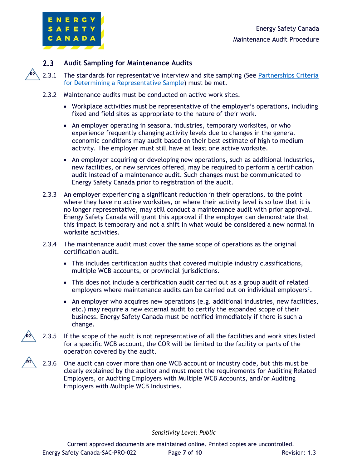

**R2**

#### $2.3$ **Audit Sampling for Maintenance Audits**

- 2.3.1 The standards for representative interview and site sampling (See Partnerships Criteria [for Determining a Representative Sample\)](https://www.energysafetycanada.com/EnergySafetyCanada/media/ESC/COR%20Materials%20-%20Standards/SAC-GDL-004-Audit-Worksite-and-Interview-Sampling.pdf) must be met.
- 2.3.2 Maintenance audits must be conducted on active work sites.
	- Workplace activities must be representative of the employer's operations, including fixed and field sites as appropriate to the nature of their work.
	- An employer operating in seasonal industries, temporary worksites, or who experience frequently changing activity levels due to changes in the general economic conditions may audit based on their best estimate of high to medium activity. The employer must still have at least one active worksite.
	- An employer acquiring or developing new operations, such as additional industries, new facilities, or new services offered, may be required to perform a certification audit instead of a maintenance audit. Such changes must be communicated to Energy Safety Canada prior to registration of the audit.
- 2.3.3 An employer experiencing a significant reduction in their operations, to the point where they have no active worksites, or where their activity level is so low that it is no longer representative, may still conduct a maintenance audit with prior approval. Energy Safety Canada will grant this approval if the employer can demonstrate that this impact is temporary and not a shift in what would be considered a new normal in worksite activities.
- 2.3.4 The maintenance audit must cover the same scope of operations as the original certification audit.
	- This includes certification audits that covered multiple industry classifications, multiple WCB accounts, or provincial jurisdictions.
	- This does not include a certification audit carried out as a group audit of related employers where maintenance audits can be carried out on individual employers<sup>2</sup>.
	- An employer who acquires new operations (e.g. additional industries, new facilities, etc.) may require a new external audit to certify the expanded scope of their business. Energy Safety Canada must be notified immediately if there is such a change.
- 2.3.5 If the scope of the audit is not representative of all the facilities and work sites listed for a specific WCB account, the COR will be limited to the facility or parts of the operation covered by the audit. **R2**
- 2.3.6 One audit can cover more than one WCB account or industry code, but this must be clearly explained by the auditor and must meet the requirements for Auditing Related Employers, or Auditing Employers with Multiple WCB Accounts, and/or Auditing Employers with Multiple WCB Industries. **R2**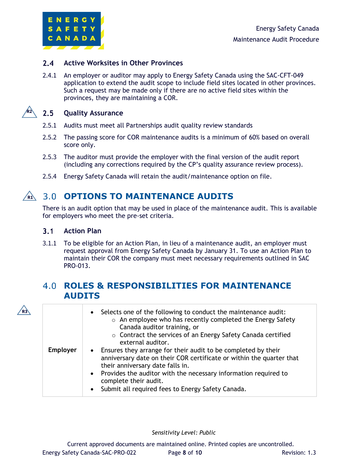

#### $2.4$ **Active Worksites in Other Provinces**

2.4.1 An employer or auditor may apply to Energy Safety Canada using the SAC-CFT-049 application to extend the audit scope to include field sites located in other provinces. Such a request may be made only if there are no active field sites within the provinces, they are maintaining a COR.



**R3**

#### $2.5$ **Quality Assurance**

- 2.5.1 Audits must meet all Partnerships audit quality review standards
- 2.5.2 The passing score for COR maintenance audits is a minimum of 60% based on overall score only.
- 2.5.3 The auditor must provide the employer with the final version of the audit report (including any corrections required by the CP's quality assurance review process).
- 2.5.4 Energy Safety Canada will retain the audit/maintenance option on file.

#### **OPTIONS TO MAINTENANCE AUDITS**  $\sqrt{R1}$

There is an audit option that may be used in place of the maintenance audit. This is available for employers who meet the pre-set criteria.

#### $3.1$ **Action Plan**

3.1.1 To be eligible for an Action Plan, in lieu of a maintenance audit, an employer must request approval from Energy Safety Canada by January 31. To use an Action Plan to maintain their COR the company must meet necessary requirements outlined in SAC PRO-013.

### **ROLES & RESPONSIBILITIES FOR MAINTENANCE AUDITS**

|                 | • Selects one of the following to conduct the maintenance audit:<br>$\circ$ An employee who has recently completed the Energy Safety<br>Canada auditor training, or<br>○ Contract the services of an Energy Safety Canada certified<br>external auditor.                                                                         |
|-----------------|----------------------------------------------------------------------------------------------------------------------------------------------------------------------------------------------------------------------------------------------------------------------------------------------------------------------------------|
| <b>Employer</b> | • Ensures they arrange for their audit to be completed by their<br>anniversary date on their COR certificate or within the quarter that<br>their anniversary date falls in.<br>• Provides the auditor with the necessary information required to<br>complete their audit.<br>• Submit all required fees to Energy Safety Canada. |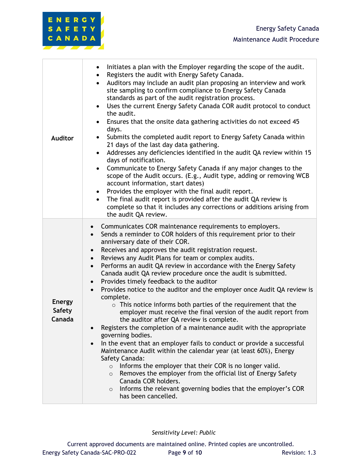

| <b>Auditor</b>                           | Initiates a plan with the Employer regarding the scope of the audit.<br>Registers the audit with Energy Safety Canada.<br>Auditors may include an audit plan proposing an interview and work<br>site sampling to confirm compliance to Energy Safety Canada<br>standards as part of the audit registration process.<br>Uses the current Energy Safety Canada COR audit protocol to conduct<br>the audit.<br>Ensures that the onsite data gathering activities do not exceed 45<br>days.<br>Submits the completed audit report to Energy Safety Canada within<br>21 days of the last day data gathering.<br>Addresses any deficiencies identified in the audit QA review within 15<br>days of notification.<br>Communicate to Energy Safety Canada if any major changes to the<br>scope of the Audit occurs. (E.g., Audit type, adding or removing WCB<br>account information, start dates)<br>Provides the employer with the final audit report.<br>The final audit report is provided after the audit QA review is<br>complete so that it includes any corrections or additions arising from<br>the audit QA review.                                                                                                                                                                                                                                     |
|------------------------------------------|-----------------------------------------------------------------------------------------------------------------------------------------------------------------------------------------------------------------------------------------------------------------------------------------------------------------------------------------------------------------------------------------------------------------------------------------------------------------------------------------------------------------------------------------------------------------------------------------------------------------------------------------------------------------------------------------------------------------------------------------------------------------------------------------------------------------------------------------------------------------------------------------------------------------------------------------------------------------------------------------------------------------------------------------------------------------------------------------------------------------------------------------------------------------------------------------------------------------------------------------------------------------------------------------------------------------------------------------------------------|
| <b>Energy</b><br><b>Safety</b><br>Canada | Communicates COR maintenance requirements to employers.<br>$\bullet$<br>Sends a reminder to COR holders of this requirement prior to their<br>$\bullet$<br>anniversary date of their COR.<br>Receives and approves the audit registration request.<br>$\bullet$<br>Reviews any Audit Plans for team or complex audits.<br>$\bullet$<br>Performs an audit QA review in accordance with the Energy Safety<br>$\bullet$<br>Canada audit QA review procedure once the audit is submitted.<br>Provides timely feedback to the auditor<br>Provides notice to the auditor and the employer once Audit QA review is<br>complete.<br>$\circ$ This notice informs both parties of the requirement that the<br>employer must receive the final version of the audit report from<br>the auditor after QA review is complete.<br>Registers the completion of a maintenance audit with the appropriate<br>governing bodies.<br>In the event that an employer fails to conduct or provide a successful<br>Maintenance Audit within the calendar year (at least 60%), Energy<br>Safety Canada:<br>Informs the employer that their COR is no longer valid.<br>$\circ$<br>Removes the employer from the official list of Energy Safety<br>$\circ$<br>Canada COR holders.<br>Informs the relevant governing bodies that the employer's COR<br>$\circ$<br>has been cancelled. |